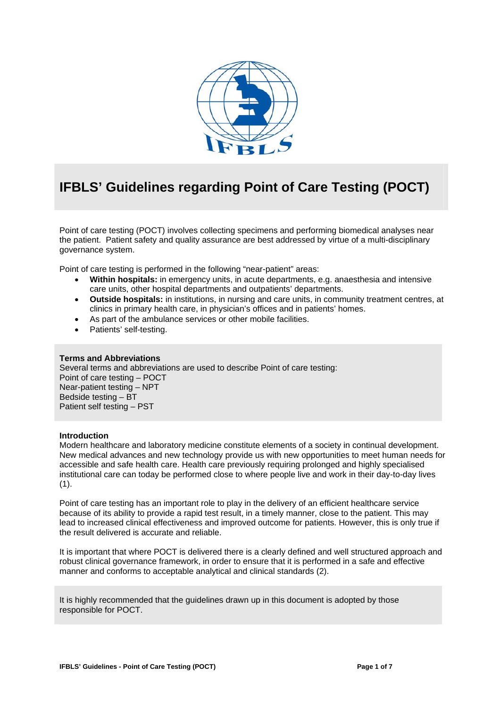

# **IFBLS' Guidelines regarding Point of Care Testing (POCT)**

Point of care testing (POCT) involves collecting specimens and performing biomedical analyses near the patient. Patient safety and quality assurance are best addressed by virtue of a multi-disciplinary governance system.

Point of care testing is performed in the following "near-patient" areas:

- **Within hospitals:** in emergency units, in acute departments, e.g. anaesthesia and intensive care units, other hospital departments and outpatients' departments.
- **Outside hospitals:** in institutions, in nursing and care units, in community treatment centres, at clinics in primary health care, in physician's offices and in patients' homes.
- As part of the ambulance services or other mobile facilities.
- Patients' self-testing.

#### **Terms and Abbreviations**

Several terms and abbreviations are used to describe Point of care testing: Point of care testing – POCT Near-patient testing – NPT Bedside testing – BT Patient self testing – PST

#### **Introduction**

Modern healthcare and laboratory medicine constitute elements of a society in continual development. New medical advances and new technology provide us with new opportunities to meet human needs for accessible and safe health care. Health care previously requiring prolonged and highly specialised institutional care can today be performed close to where people live and work in their day-to-day lives  $(1)$ .

Point of care testing has an important role to play in the delivery of an efficient healthcare service because of its ability to provide a rapid test result, in a timely manner, close to the patient. This may lead to increased clinical effectiveness and improved outcome for patients. However, this is only true if the result delivered is accurate and reliable.

It is important that where POCT is delivered there is a clearly defined and well structured approach and robust clinical governance framework, in order to ensure that it is performed in a safe and effective manner and conforms to acceptable analytical and clinical standards (2).

It is highly recommended that the guidelines drawn up in this document is adopted by those responsible for POCT.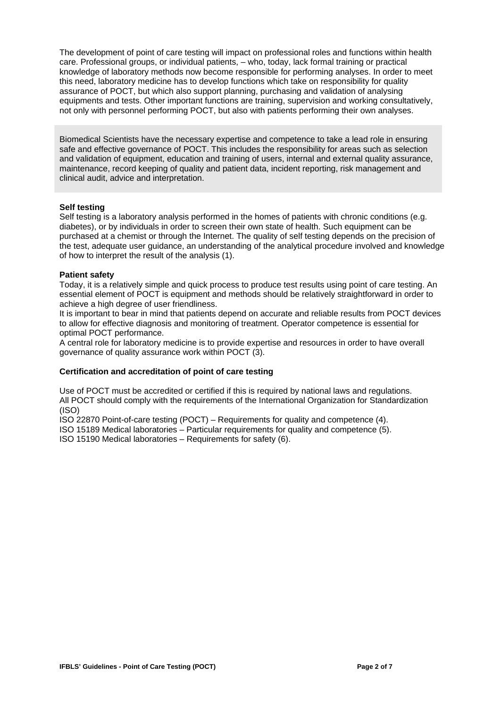The development of point of care testing will impact on professional roles and functions within health care. Professional groups, or individual patients, – who, today, lack formal training or practical knowledge of laboratory methods now become responsible for performing analyses. In order to meet this need, laboratory medicine has to develop functions which take on responsibility for quality assurance of POCT, but which also support planning, purchasing and validation of analysing equipments and tests. Other important functions are training, supervision and working consultatively, not only with personnel performing POCT, but also with patients performing their own analyses.

Biomedical Scientists have the necessary expertise and competence to take a lead role in ensuring safe and effective governance of POCT. This includes the responsibility for areas such as selection and validation of equipment, education and training of users, internal and external quality assurance, maintenance, record keeping of quality and patient data, incident reporting, risk management and clinical audit, advice and interpretation.

#### **Self testing**

Self testing is a laboratory analysis performed in the homes of patients with chronic conditions (e.g. diabetes), or by individuals in order to screen their own state of health. Such equipment can be purchased at a chemist or through the Internet. The quality of self testing depends on the precision of the test, adequate user guidance, an understanding of the analytical procedure involved and knowledge of how to interpret the result of the analysis (1).

## **Patient safety**

Today, it is a relatively simple and quick process to produce test results using point of care testing. An essential element of POCT is equipment and methods should be relatively straightforward in order to achieve a high degree of user friendliness.

It is important to bear in mind that patients depend on accurate and reliable results from POCT devices to allow for effective diagnosis and monitoring of treatment. Operator competence is essential for optimal POCT performance.

A central role for laboratory medicine is to provide expertise and resources in order to have overall governance of quality assurance work within POCT (3).

# **Certification and accreditation of point of care testing**

Use of POCT must be accredited or certified if this is required by national laws and regulations. All POCT should comply with the requirements of the International Organization for Standardization (ISO)

ISO 22870 Point-of-care testing (POCT) – Requirements for quality and competence (4).

ISO 15189 Medical laboratories – Particular requirements for quality and competence (5).

ISO 15190 Medical laboratories – Requirements for safety (6).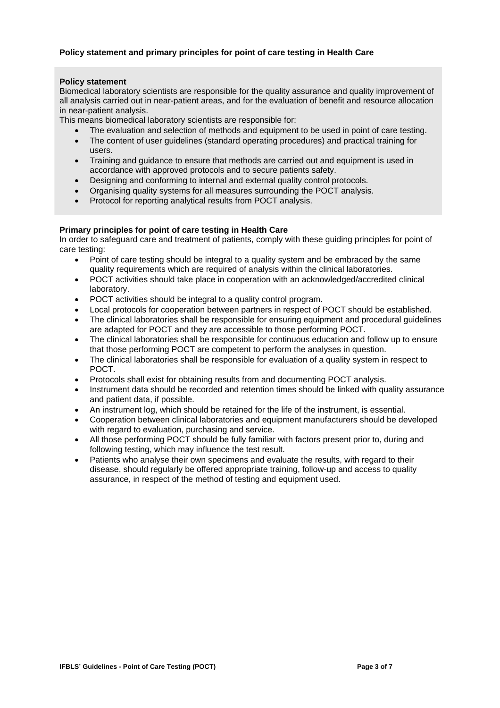# **Policy statement and primary principles for point of care testing in Health Care**

#### **Policy statement**

Biomedical laboratory scientists are responsible for the quality assurance and quality improvement of all analysis carried out in near-patient areas, and for the evaluation of benefit and resource allocation in near-patient analysis.

This means biomedical laboratory scientists are responsible for:

- The evaluation and selection of methods and equipment to be used in point of care testing.
- The content of user guidelines (standard operating procedures) and practical training for users.
- Training and guidance to ensure that methods are carried out and equipment is used in accordance with approved protocols and to secure patients safety.
- Designing and conforming to internal and external quality control protocols.
- Organising quality systems for all measures surrounding the POCT analysis.
- Protocol for reporting analytical results from POCT analysis.

# **Primary principles for point of care testing in Health Care**

In order to safeguard care and treatment of patients, comply with these guiding principles for point of care testing:

- Point of care testing should be integral to a quality system and be embraced by the same quality requirements which are required of analysis within the clinical laboratories.
- POCT activities should take place in cooperation with an acknowledged/accredited clinical laboratory.
- POCT activities should be integral to a quality control program.
- Local protocols for cooperation between partners in respect of POCT should be established.
- The clinical laboratories shall be responsible for ensuring equipment and procedural guidelines are adapted for POCT and they are accessible to those performing POCT.
- The clinical laboratories shall be responsible for continuous education and follow up to ensure that those performing POCT are competent to perform the analyses in question.
- The clinical laboratories shall be responsible for evaluation of a quality system in respect to POCT.
- Protocols shall exist for obtaining results from and documenting POCT analysis.
- Instrument data should be recorded and retention times should be linked with quality assurance and patient data, if possible.
- An instrument log, which should be retained for the life of the instrument, is essential.
- Cooperation between clinical laboratories and equipment manufacturers should be developed with regard to evaluation, purchasing and service.
- All those performing POCT should be fully familiar with factors present prior to, during and following testing, which may influence the test result.
- Patients who analyse their own specimens and evaluate the results, with regard to their disease, should regularly be offered appropriate training, follow-up and access to quality assurance, in respect of the method of testing and equipment used.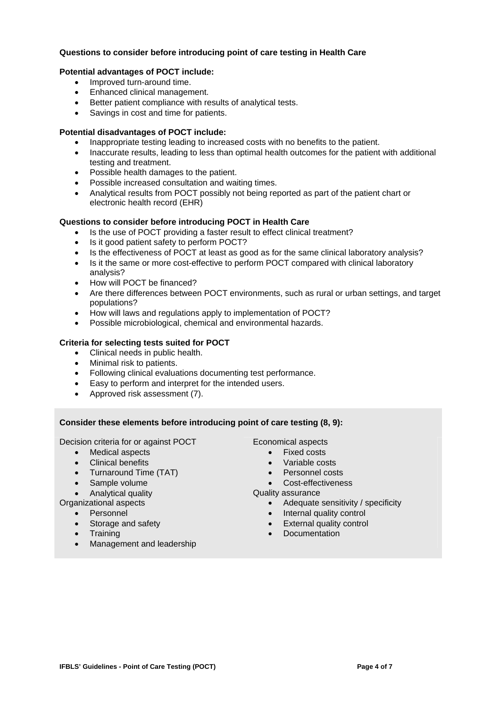# **Questions to consider before introducing point of care testing in Health Care**

# **Potential advantages of POCT include:**

- Improved turn-around time.
- Enhanced clinical management.
- Better patient compliance with results of analytical tests.
- Savings in cost and time for patients.

#### **Potential disadvantages of POCT include:**

- Inappropriate testing leading to increased costs with no benefits to the patient.
- Inaccurate results, leading to less than optimal health outcomes for the patient with additional testing and treatment.
- Possible health damages to the patient.
- Possible increased consultation and waiting times.
- Analytical results from POCT possibly not being reported as part of the patient chart or electronic health record (EHR)

## **Questions to consider before introducing POCT in Health Care**

- Is the use of POCT providing a faster result to effect clinical treatment?
- Is it good patient safety to perform POCT?
- Is the effectiveness of POCT at least as good as for the same clinical laboratory analysis?
- Is it the same or more cost-effective to perform POCT compared with clinical laboratory analysis?
- How will POCT be financed?
- Are there differences between POCT environments, such as rural or urban settings, and target populations?
- How will laws and regulations apply to implementation of POCT?
- Possible microbiological, chemical and environmental hazards.

## **Criteria for selecting tests suited for POCT**

- Clinical needs in public health.
- Minimal risk to patients.
- Following clinical evaluations documenting test performance.
- Easy to perform and interpret for the intended users.
- Approved risk assessment (7).

# **Consider these elements before introducing point of care testing (8, 9):**

Decision criteria for or against POCT

- Medical aspects
- Clinical benefits
- Turnaround Time (TAT)
- Sample volume
- Analytical quality
- Organizational aspects
	- Personnel
		- Storage and safety
	- Training
	- Management and leadership

- Fixed costs
- Variable costs
- Personnel costs
- Cost-effectiveness
- Quality assurance
	- Adequate sensitivity / specificity
	- Internal quality control
	- External quality control
	- Documentation

Economical aspects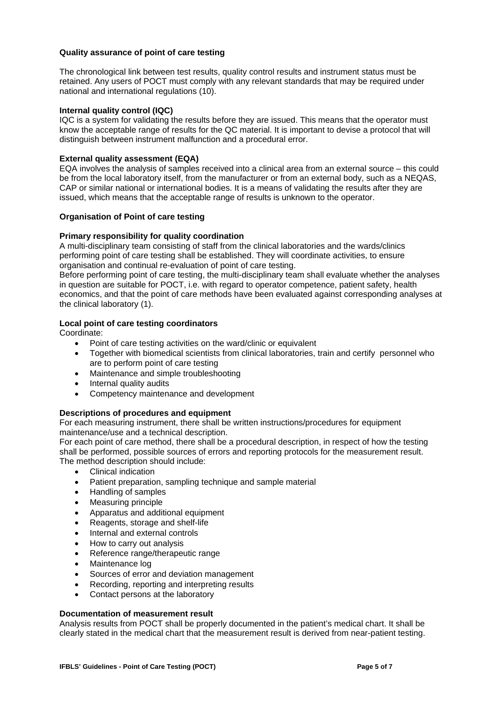## **Quality assurance of point of care testing**

The chronological link between test results, quality control results and instrument status must be retained. Any users of POCT must comply with any relevant standards that may be required under national and international regulations (10).

#### **Internal quality control (IQC)**

IQC is a system for validating the results before they are issued. This means that the operator must know the acceptable range of results for the QC material. It is important to devise a protocol that will distinguish between instrument malfunction and a procedural error.

## **External quality assessment (EQA)**

EQA involves the analysis of samples received into a clinical area from an external source – this could be from the local laboratory itself, from the manufacturer or from an external body, such as a NEQAS, CAP or similar national or international bodies. It is a means of validating the results after they are issued, which means that the acceptable range of results is unknown to the operator.

## **Organisation of Point of care testing**

## **Primary responsibility for quality coordination**

A multi-disciplinary team consisting of staff from the clinical laboratories and the wards/clinics performing point of care testing shall be established. They will coordinate activities, to ensure organisation and continual re-evaluation of point of care testing.

Before performing point of care testing, the multi-disciplinary team shall evaluate whether the analyses in question are suitable for POCT, i.e. with regard to operator competence, patient safety, health economics, and that the point of care methods have been evaluated against corresponding analyses at the clinical laboratory (1).

## **Local point of care testing coordinators**

Coordinate:

- Point of care testing activities on the ward/clinic or equivalent
- Together with biomedical scientists from clinical laboratories, train and certify personnel who are to perform point of care testing
- Maintenance and simple troubleshooting
- Internal quality audits
- Competency maintenance and development

#### **Descriptions of procedures and equipment**

For each measuring instrument, there shall be written instructions/procedures for equipment maintenance/use and a technical description.

For each point of care method, there shall be a procedural description, in respect of how the testing shall be performed, possible sources of errors and reporting protocols for the measurement result. The method description should include:

- Clinical indication
- Patient preparation, sampling technique and sample material
- Handling of samples
- Measuring principle
- Apparatus and additional equipment
- Reagents, storage and shelf-life
- Internal and external controls
- How to carry out analysis
- Reference range/therapeutic range
- Maintenance log
- Sources of error and deviation management
- Recording, reporting and interpreting results
- Contact persons at the laboratory

# **Documentation of measurement result**

Analysis results from POCT shall be properly documented in the patient's medical chart. It shall be clearly stated in the medical chart that the measurement result is derived from near-patient testing.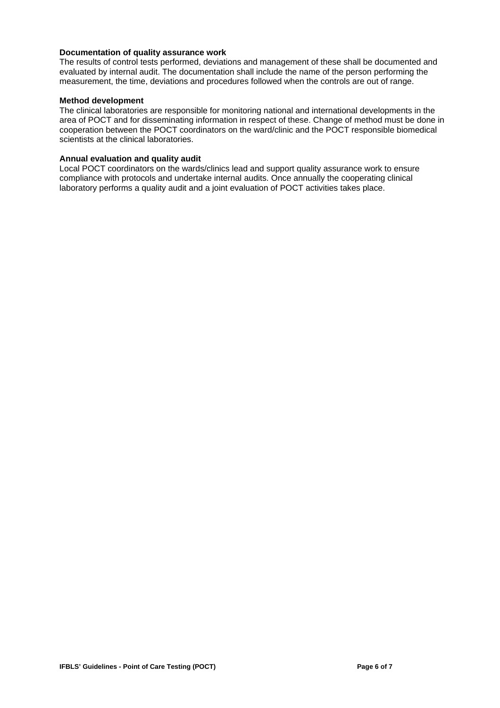# **Documentation of quality assurance work**

The results of control tests performed, deviations and management of these shall be documented and evaluated by internal audit. The documentation shall include the name of the person performing the measurement, the time, deviations and procedures followed when the controls are out of range.

#### **Method development**

The clinical laboratories are responsible for monitoring national and international developments in the area of POCT and for disseminating information in respect of these. Change of method must be done in cooperation between the POCT coordinators on the ward/clinic and the POCT responsible biomedical scientists at the clinical laboratories.

## **Annual evaluation and quality audit**

Local POCT coordinators on the wards/clinics lead and support quality assurance work to ensure compliance with protocols and undertake internal audits. Once annually the cooperating clinical laboratory performs a quality audit and a joint evaluation of POCT activities takes place.